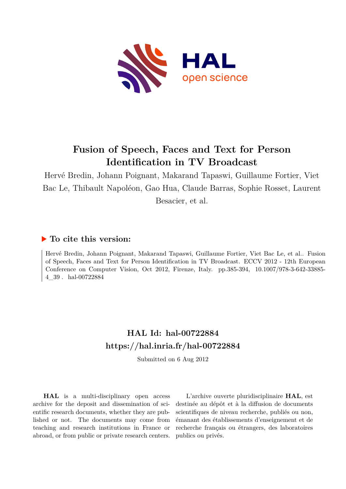

# **Fusion of Speech, Faces and Text for Person Identification in TV Broadcast**

Hervé Bredin, Johann Poignant, Makarand Tapaswi, Guillaume Fortier, Viet Bac Le, Thibault Napoléon, Gao Hua, Claude Barras, Sophie Rosset, Laurent Besacier, et al.

## **To cite this version:**

Hervé Bredin, Johann Poignant, Makarand Tapaswi, Guillaume Fortier, Viet Bac Le, et al.. Fusion of Speech, Faces and Text for Person Identification in TV Broadcast. ECCV 2012 - 12th European Conference on Computer Vision, Oct 2012, Firenze, Italy. pp.385-394, 10.1007/978-3-642-33885-4 39 hal-00722884

# **HAL Id: hal-00722884 <https://hal.inria.fr/hal-00722884>**

Submitted on 6 Aug 2012

**HAL** is a multi-disciplinary open access archive for the deposit and dissemination of scientific research documents, whether they are published or not. The documents may come from teaching and research institutions in France or abroad, or from public or private research centers.

L'archive ouverte pluridisciplinaire **HAL**, est destinée au dépôt et à la diffusion de documents scientifiques de niveau recherche, publiés ou non, émanant des établissements d'enseignement et de recherche français ou étrangers, des laboratoires publics ou privés.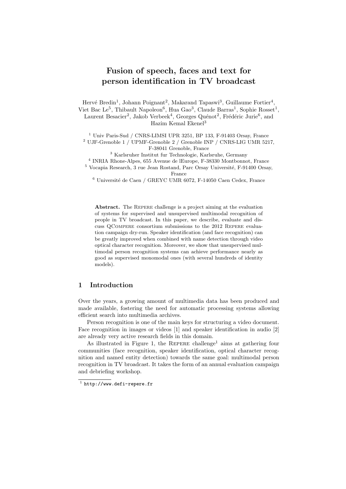## Fusion of speech, faces and text for person identification in TV broadcast

Hervé Bredin<sup>1</sup>, Johann Poignant<sup>2</sup>, Makarand Tapaswi<sup>3</sup>, Guillaume Fortier<sup>4</sup>, Viet Bac Le<sup>5</sup>, Thibault Napoleon<sup>6</sup>, Hua Gao<sup>3</sup>, Claude Barras<sup>1</sup>, Sophie Rosset<sup>1</sup>, Laurent Besacier<sup>2</sup>, Jakob Verbeek<sup>4</sup>, Georges Quénot<sup>2</sup>, Frédéric Jurie<sup>6</sup>, and Hazim Kemal Ekenel<sup>3</sup>

 $1$  Univ Paris-Sud / CNRS-LIMSI UPR 3251, BP 133, F-91403 Orsay, France

 $^2$  UJF-Grenoble 1  $\!/$  UPMF-Grenoble 2  $\!/$  Grenoble INP  $\!/$  CNRS-LIG UMR 5217,

F-38041 Grenoble, France

<sup>3</sup> Karlsruher Institut fur Technologie, Karlsruhe, Germany

4 INRIA Rhone-Alpes, 655 Avenue de lEurope, F-38330 Montbonnot, France  $5$  Vocapia Research, 3 rue Jean Rostand, Parc Orsay Université, F-91400 Orsay,

France

 $^6$ Université de Caen / GREYC UMR 6072, F-14050 Caen Cedex, France

Abstract. The REPERE challenge is a project aiming at the evaluation of systems for supervised and unsupervised multimodal recognition of people in TV broadcast. In this paper, we describe, evaluate and discuss QCompere consortium submissions to the 2012 Repere evaluation campaign dry-run. Speaker identification (and face recognition) can be greatly improved when combined with name detection through video optical character recognition. Moreover, we show that unsupervised multimodal person recognition systems can achieve performance nearly as good as supervised monomodal ones (with several hundreds of identity models).

## 1 Introduction

Over the years, a growing amount of multimedia data has been produced and made available, fostering the need for automatic processing systems allowing efficient search into multimedia archives.

Person recognition is one of the main keys for structuring a video document. Face recognition in images or videos [1] and speaker identification in audio [2] are already very active research fields in this domain.

As illustrated in Figure 1, the REPERE challenge<sup>1</sup> aims at gathering four communities (face recognition, speaker identification, optical character recognition and named entity detection) towards the same goal: multimodal person recognition in TV broadcast. It takes the form of an annual evaluation campaign and debriefing workshop.

<sup>1</sup> http://www.defi-repere.fr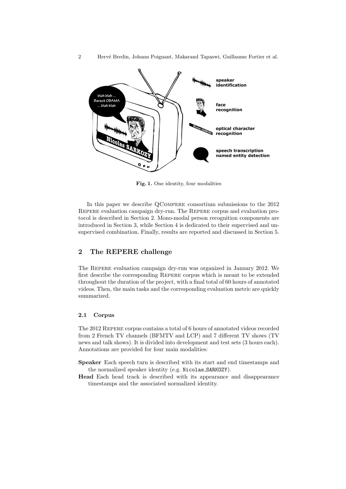

Fig. 1. One identity, four modalities

In this paper we describe QCOMPERE consortium submissions to the 2012 Repere evaluation campaign dry-run. The Repere corpus and evaluation protocol is described in Section 2. Mono-modal person recognition components are introduced in Section 3, while Section 4 is dedicated to their supervised and unsupervised combination. Finally, results are reported and discussed in Section 5.

## 2 The REPERE challenge

The Repere evaluation campaign dry-run was organized in January 2012. We first describe the corresponding Repere corpus which is meant to be extended throughout the duration of the project, with a final total of 60 hours of annotated videos. Then, the main tasks and the corresponding evaluation metric are quickly summarized.

## 2.1 Corpus

The 2012 Repere corpus contains a total of 6 hours of annotated videos recorded from 2 French TV channels (BFMTV and LCP) and 7 different TV shows (TV news and talk shows). It is divided into development and test sets (3 hours each). Annotations are provided for four main modalities:

- Speaker Each speech turn is described with its start and end timestamps and the normalized speaker identity (e.g. Nicolas SARKOZY).
- Head Each head track is described with its appearance and disappearance timestamps and the associated normalized identity.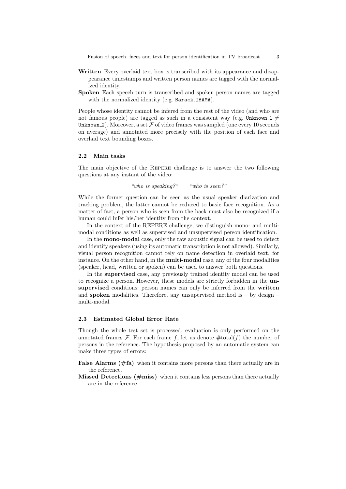Fusion of speech, faces and text for person identification in TV broadcast 3

- Written Every overlaid text box is transcribed with its appearance and disappearance timestamps and written person names are tagged with the normalized identity.
- Spoken Each speech turn is transcribed and spoken person names are tagged with the normalized identity (e.g. Barack\_OBAMA).

People whose identity cannot be infered from the rest of the video (and who are not famous people) are tagged as such in a consistent way (e.g. Unknown 1  $\neq$ Unknown 2). Moreover, a set  $\mathcal F$  of video frames was sampled (one every 10 seconds on average) and annotated more precisely with the position of each face and overlaid text bounding boxes.

#### 2.2 Main tasks

The main objective of the Repere challenge is to answer the two following questions at any instant of the video:

"who is speaking?" "who is seen?"

While the former question can be seen as the usual speaker diarization and tracking problem, the latter cannot be reduced to basic face recognition. As a matter of fact, a person who is seen from the back must also be recognized if a human could infer his/her identity from the context.

In the context of the REPERE challenge, we distinguish mono- and multimodal conditions as well as supervised and unsupervised person identification.

In the mono-modal case, only the raw acoustic signal can be used to detect and identify speakers (using its automatic transcription is not allowed). Similarly, visual person recognition cannot rely on name detection in overlaid text, for instance. On the other hand, in the **multi-modal** case, any of the four modalities (speaker, head, written or spoken) can be used to answer both questions.

In the supervised case, any previously trained identity model can be used to recognize a person. However, these models are strictly forbidden in the unsupervised conditions: person names can only be inferred from the written and **spoken** modalities. Therefore, any unsupervised method is  $-$  by design  $$ multi-modal.

#### 2.3 Estimated Global Error Rate

Though the whole test set is processed, evaluation is only performed on the annotated frames F. For each frame f, let us denote  $\#total(f)$  the number of persons in the reference. The hypothesis proposed by an automatic system can make three types of errors:

False Alarms (#fa) when it contains more persons than there actually are in the reference.

**Missed Detections (** $\#miss$ **)** when it contains less persons than there actually are in the reference.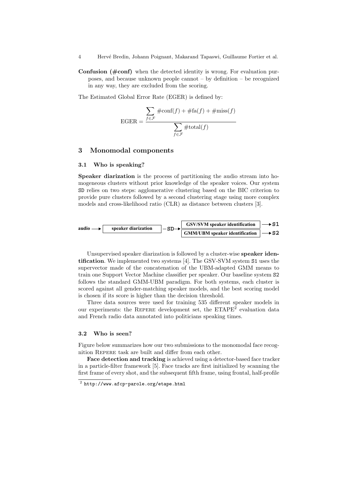- 4 Herv´e Bredin, Johann Poignant, Makarand Tapaswi, Guillaume Fortier et al.
- **Confusion** ( $\#\text{conf}$ ) when the detected identity is wrong. For evaluation purposes, and because unknown people cannot – by definition – be recognized in any way, they are excluded from the scoring.

The Estimated Global Error Rate (EGER) is defined by:

$$
EGER = \frac{\sum_{f \in \mathcal{F}} \#conf(f) + \#fa(f) + \#miss(f)}{\sum_{f \in \mathcal{F}} \#total(f)}
$$

### 3 Monomodal components

#### 3.1 Who is speaking?

Speaker diarization is the process of partitioning the audio stream into homogeneous clusters without prior knowledge of the speaker voices. Our system SD relies on two steps: agglomerative clustering based on the BIC criterion to provide pure clusters followed by a second clustering stage using more complex models and cross-likelihood ratio (CLR) as distance between clusters [3].

$$
audio \longrightarrow \boxed{\text{speaker diarization}} - SD \longrightarrow \boxed{\text{GSV/SVM speaker identification}} \longrightarrow S1
$$
  
GMM/UBM speaker identification 
$$
\longrightarrow S2
$$

Unsupervised speaker diarization is followed by a cluster-wise speaker identification. We implemented two systems [4]. The GSV-SVM system S1 uses the supervector made of the concatenation of the UBM-adapted GMM means to train one Support Vector Machine classifier per speaker. Our baseline system S2 follows the standard GMM-UBM paradigm. For both systems, each cluster is scored against all gender-matching speaker models, and the best scoring model is chosen if its score is higher than the decision threshold.

Three data sources were used for training 535 different speaker models in our experiments: the REPERE development set, the  $ETAPE^2$  evaluation data and French radio data annotated into politicians speaking times.

#### 3.2 Who is seen?

Figure below summarizes how our two submissions to the monomodal face recognition Repere task are built and differ from each other.

Face detection and tracking is achieved using a detector-based face tracker in a particle-filter framework [5]. Face tracks are first initialized by scanning the first frame of every shot, and the subsequent fifth frame, using frontal, half-profile

 $^{\text{2}}$  http://www.afcp-parole.org/etape.html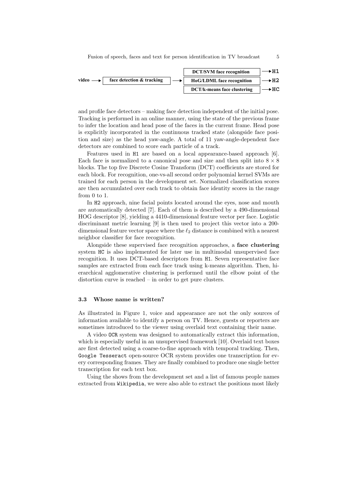

and profile face detectors – making face detection independent of the initial pose. Tracking is performed in an online manner, using the state of the previous frame to infer the location and head pose of the faces in the current frame. Head pose is explicitly incorporated in the continuous tracked state (alongside face position and size) as the head yaw-angle. A total of 11 yaw-angle-dependent face detectors are combined to score each particle of a track.

Features used in H1 are based on a local appearance-based approach [6]. Each face is normalized to a canonical pose and size and then split into  $8 \times 8$ blocks. The top five Discrete Cosine Transform (DCT) coefficients are stored for each block. For recognition, one-vs-all second order polynomial kernel SVMs are trained for each person in the development set. Normalized classification scores are then accumulated over each track to obtain face identity scores in the range from 0 to 1.

In H2 approach, nine facial points located around the eyes, nose and mouth are automatically detected [7]. Each of them is described by a 490-dimensional HOG descriptor [8], yielding a 4410-dimensional feature vector per face. Logistic discriminant metric learning [9] is then used to project this vector into a 200 dimensional feature vector space where the  $\ell_2$  distance is combined with a nearest neighbor classifier for face recognition.

Alongside these supervised face recognition approaches, a face clustering system HC is also implemented for later use in multimodal unsupervised face recognition. It uses DCT-based descriptors from H1. Seven representative face samples are extracted from each face track using k-means algorithm. Then, hierarchical agglomerative clustering is performed until the elbow point of the distortion curve is reached – in order to get pure clusters.

#### 3.3 Whose name is written?

As illustrated in Figure 1, voice and appearance are not the only sources of information available to identify a person on TV. Hence, guests or reporters are sometimes introduced to the viewer using overlaid text containing their name.

A video OCR system was designed to automatically extract this information, which is especially useful in an unsupervised framework [10]. Overlaid text boxes are first detected using a coarse-to-fine approach with temporal tracking. Then, Google Tesseract open-source OCR system provides one transcription for every corresponding frames. They are finally combined to produce one single better transcription for each text box.

Using the shows from the development set and a list of famous people names extracted from Wikipedia, we were also able to extract the positions most likely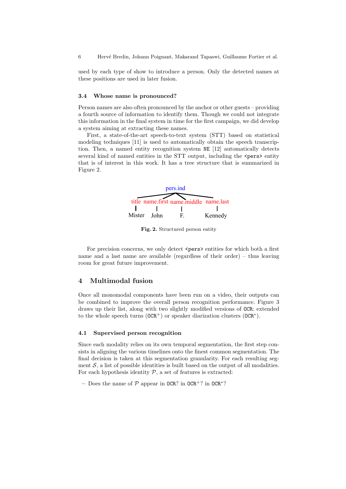used by each type of show to introduce a person. Only the detected names at these positions are used in later fusion.

#### 3.4 Whose name is pronounced?

Person names are also often pronounced by the anchor or other guests – providing a fourth source of information to identify them. Though we could not integrate this information in the final system in time for the first campaign, we did develop a system aiming at extracting these names.

First, a state-of-the-art speech-to-text system (STT) based on statistical modeling techniques [11] is used to automatically obtain the speech transcription. Then, a named entity recognition system NE [12] automatically detects several kind of named entities in the STT output, including the <pers> entity that is of interest in this work. It has a tree structure that is summarized in Figure 2.



Fig. 2. Structured person entity

For precision concerns, we only detect  $\epsilon$  pers> entities for which both a first name and a last name are available (regardless of their order) – thus leaving room for great future improvement.

## 4 Multimodal fusion

Once all monomodal components have been run on a video, their outputs can be combined to improve the overall person recognition performance. Figure 3 draws up their list, along with two slightly modified versions of OCR: extended to the whole speech turns  $(OCR<sup>+</sup>)$  or speaker diarization clusters  $(OCR<sup>*</sup>)$ .

## 4.1 Supervised person recognition

Since each modality relies on its own temporal segmentation, the first step consists in aligning the various timelines onto the finest common segmentation. The final decision is taken at this segmentation granularity. For each resulting segment  $S$ , a list of possible identities is built based on the output of all modalities. For each hypothesis identity  $P$ , a set of features is extracted:

- Does the name of  $P$  appear in OCR? in OCR<sup>+</sup>? in OCR<sup>\*</sup>?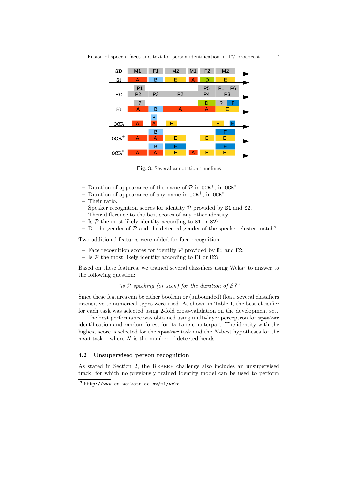| <b>SD</b>                    | M1                   | F1             | M <sub>2</sub> | M1 | F <sub>2</sub> | M <sub>2</sub>       |  |
|------------------------------|----------------------|----------------|----------------|----|----------------|----------------------|--|
| Si                           | A                    | B              | Е              | Α  | D              | Е                    |  |
|                              | P1                   |                |                |    | P <sub>5</sub> | P <sub>6</sub><br>P1 |  |
| HC                           | P <sub>2</sub>       | P <sub>3</sub> | P <sub>2</sub> |    | P <sub>4</sub> | P <sub>3</sub>       |  |
|                              | $\ddot{\phantom{0}}$ |                |                |    | D              | ?<br>F               |  |
| Hi                           | А                    | B              | Α              |    | А              | Е                    |  |
|                              |                      | B              |                |    |                |                      |  |
| <b>OCR</b>                   | A                    | A              | E.             |    |                | Е<br>F               |  |
|                              |                      | B              |                |    |                | F                    |  |
| $\underline{\text{OCR}}^+$   | A                    | A              | Е              |    | E              | E                    |  |
|                              |                      | B              | F              |    |                | F                    |  |
| $\underline{\mathtt{OCR}}^*$ |                      |                |                |    | Е              | E                    |  |

Fig. 3. Several annotation timelines

- Duration of appearance of the name of  $P$  in OCR<sup>+</sup>, in OCR<sup>\*</sup>.
- Duration of appearance of any name in OCR<sup>+</sup>, in OCR<sup>∗</sup> .
- Their ratio.
- Speaker recognition scores for identity  $\mathcal P$  provided by S1 and S2.
- Their difference to the best scores of any other identity.
- Is  $P$  the most likely identity according to S1 or S2?
- Do the gender of  $P$  and the detected gender of the speaker cluster match?

Two additional features were added for face recognition:

- Face recognition scores for identity  $P$  provided by H1 and H2.
- Is  $P$  the most likely identity according to H1 or H2?

Based on these features, we trained several classifiers using Weka<sup>3</sup> to answer to the following question:

"is  $P$  speaking (or seen) for the duration of  $S$ ?"

Since these features can be either boolean or (unbounded) float, several classifiers insensitive to numerical types were used. As shown in Table 1, the best classifier for each task was selected using 2-fold cross-validation on the development set.

The best performance was obtained using multi-layer perceptron for speaker identification and random forest for its face counterpart. The identity with the highest score is selected for the speaker task and the N-best hypotheses for the head task – where  $N$  is the number of detected heads.

### 4.2 Unsupervised person recognition

As stated in Section 2, the Repere challenge also includes an unsupervised track, for which no previously trained identity model can be used to perform

 $^3$  http://www.cs.waikato.ac.nz/ml/weka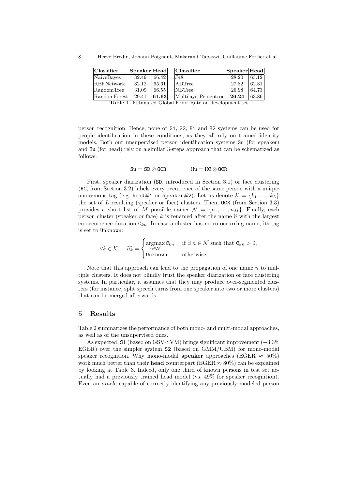| Classifier   | $ S$ peaker $ Head $ |       | Classifier           | Speaker Head |       |
|--------------|----------------------|-------|----------------------|--------------|-------|
| NaiveBayes   | 32.49                | 66.42 | IJ48                 | 28.20        | 63.12 |
| RBFNetwork   | 32.12                | 65.61 | <b>ADTree</b>        | 27.82        | 62.31 |
| RandomTree   | 31.09                | 66.55 | <b>NBTree</b>        | 26.98        | 64.73 |
| RandomForest | 29.41                | 61.63 | MultilayerPerceptron | 26.24        | 63.86 |

Table 1. Estimated Global Error Rate on development set

person recognition. Hence, none of S1, S2, H1 and H2 systems can be used for people identification in these conditions, as they all rely on trained identity models. Both our unsupervised person identification systems Su (for speaker) and Hu (for head) rely on a similar 3-steps approach that can be schematized as follows:

 $Su = SD \otimes OCR$  Hu = HC  $\otimes$  OCR

First, speaker diarization (SD, introduced in Section 3.1) or face clustering (HC, from Section 3.2) labels every occurrence of the same person with a unique anonymous tag (e.g. head#1 or speaker#2). Let us denote  $\mathcal{K} = \{k_1, \ldots, k_L\}$ the set of  $L$  resulting (speaker or face) clusters. Then,  $OCR$  (from Section 3.3) provides a short list of M possible names  $\mathcal{N} = \{n_1, \ldots, n_M\}$ . Finally, each person cluster (speaker or face) k is renamed after the name  $\hat{n}$  with the largest co-occurrence duration  $C_{kn}$ . In case a cluster has no co-occurring name, its tag is set to Unknown:

> $\forall k \in \mathcal{K}, \quad \widehat{n_k} =$  $\sqrt{ }$  $\frac{1}{2}$  $\mathcal{L}$  $\operatorname*{argmax}_{n \in \mathcal{N}} \mathsf{C}_{kn}$  if  $\exists n \in \mathcal{N}$  such that  $\mathsf{C}_{kn} > 0$ , Unknown otherwise.

Note that this approach can lead to the propagation of one name  $n$  to multiple clusters. It does not blindly trust the speaker diarization or face clustering systems. In particular, it assumes that they may produce over-segmented clusters (for instance, split speech turns from one speaker into two or more clusters) that can be merged afterwards.

## 5 Results

Table 2 summarizes the performance of both mono- and multi-modal approaches, as well as of the unsupervised ones.

As expected, S1 (based on GSV-SVM) brings significant improvement (−3.3% EGER) over the simpler system S2 (based on GMM/UBM) for mono-modal speaker recognition. Why mono-modal speaker approaches (EGER  $\approx 50\%$ ) work much better than their **head** counterpart (EGER  $\approx 80\%$ ) can be explained by looking at Table 3. Indeed, only one third of known persons in test set actually had a previously trained head model (vs. 49% for speaker recognition). Even an oracle capable of correctly identifying any previously modeled person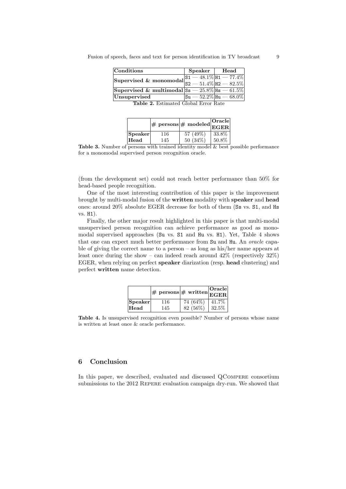Fusion of speech, faces and text for person identification in TV broadcast 9

| Conditions                                                                                         | Speaker   Head                          |                |  |
|----------------------------------------------------------------------------------------------------|-----------------------------------------|----------------|--|
| Supervised & monomodal $\frac{{\rm S1}-48.1\%[{\rm H1}-77.4\%]}{{\rm S2}-51.4\%[{\rm H2}-82.5\%]}$ |                                         |                |  |
|                                                                                                    |                                         |                |  |
| Supervised & multimodal $\text{Ss} = 25.8\%$ Hs $-61.5\%$                                          |                                         |                |  |
| Unsupervised                                                                                       | $ {\tt Su} - 52.2\% {\tt Hu} - 68.0\% $ |                |  |
|                                                                                                    |                                         | $\blacksquare$ |  |

Table 2. Estimated Global Error Rate

|                  |     | $#$ persons $#$ modeled EGER |       |
|------------------|-----|------------------------------|-------|
| ${\bf Speaker} $ | 116 | 57 (49%)                     | 33.8% |
| $\rm Head$       | 145 | $50(34\%)$                   | 50.8% |

**Table 3.** Number of persons with trained identity model  $\&$  best possible performance for a monomodal supervised person recognition oracle.

(from the development set) could not reach better performance than 50% for head-based people recognition.

One of the most interesting contribution of this paper is the improvement brought by multi-modal fusion of the written modality with speaker and head ones: around 20% absolute EGER decrease for both of them (Ss vs. S1, and Hs vs. H1).

Finally, the other major result highlighted in this paper is that multi-modal unsupervised person recognition can achieve performance as good as monomodal supervised approaches (Su vs. S1 and Hu vs. H1). Yet, Table 4 shows that one can expect much better performance from Su and Hu. An oracle capable of giving the correct name to a person – as long as his/her name appears at least once during the show – can indeed reach around  $42\%$  (respectively  $32\%$ ) EGER, when relying on perfect speaker diarization (resp. head clustering) and perfect written name detection.

|            | $\left \# {\rm~persons} \right  \# {\rm~written} {\rm~Oracle \over EGER}$ |            |       |
|------------|---------------------------------------------------------------------------|------------|-------|
| $S$ peaker | 116                                                                       | 74 (64\%)  | 41.7% |
| Head       | 145                                                                       | $82(56\%)$ | 32.5% |
|            |                                                                           |            |       |

Table 4. Is unsupervised recognition even possible? Number of persons whose name is written at least once & oracle performance.

## 6 Conclusion

In this paper, we described, evaluated and discussed QCompere consortium submissions to the 2012 Repere evaluation campaign dry-run. We showed that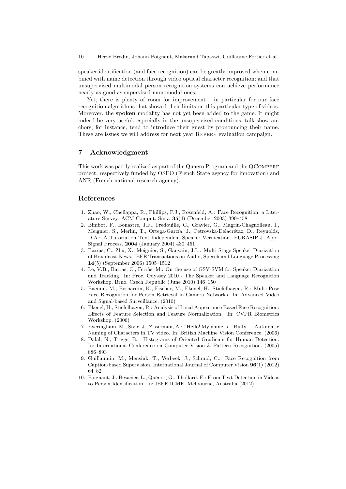10 Herv´e Bredin, Johann Poignant, Makarand Tapaswi, Guillaume Fortier et al.

speaker identification (and face recognition) can be greatly improved when combined with name detection through video optical character recognition; and that unsupervised multimodal person recognition systems can achieve performance nearly as good as supervised monomodal ones.

Yet, there is plenty of room for improvement – in particular for our face recognition algorithms that showed their limits on this particular type of videos. Moreover, the spoken modality has not yet been added to the game. It might indeed be very useful, especially in the unsupervised conditions: talk-show anchors, for instance, tend to introduce their guest by pronouncing their name. These are issues we will address for next year Repere evaluation campaign.

## 7 Acknowledgment

This work was partly realized as part of the Quaero Program and the QCompere project, respectively funded by OSEO (French State agency for innovation) and ANR (French national research agency).

#### References

- 1. Zhao, W., Chellappa, R., Phillips, P.J., Rosenfeld, A.: Face Recognition: a Literature Survey. ACM Comput. Surv. 35(4) (December 2003) 399–458
- 2. Bimbot, F., Bonastre, J.F., Fredouille, C., Gravier, G., Magrin-Chagnolleau, I., Meignier, S., Merlin, T., Ortega-García, J., Petrovska-Delacrétaz, D., Reynolds, D.A.: A Tutorial on Text-Independent Speaker Verification. EURASIP J. Appl. Signal Process. 2004 (January 2004) 430–451
- 3. Barras, C., Zhu, X., Meignier, S., Gauvain, J.L.: Multi-Stage Speaker Diarization of Broadcast News. IEEE Transactions on Audio, Speech and Language Processing 14(5) (September 2006) 1505–1512
- 4. Le, V.B., Barras, C., Ferràs, M.: On the use of GSV-SVM for Speaker Diarization and Tracking. In: Proc. Odyssey 2010 - The Speaker and Language Recognition Workshop, Brno, Czech Republic (June 2010) 146–150
- 5. Baeuml, M., Bernardin, K., Fischer, M., Ekenel, H., Stiefelhagen, R.: Multi-Pose Face Recognition for Person Retrieval in Camera Networks. In: Advanced Video and Signal-based Surveillance. (2010)
- 6. Ekenel, H., Stiefelhagen, R.: Analysis of Local Appearance Based Face Recognition: Effects of Feature Selection and Feature Normalization. In: CVPR Biometrics Workshop. (2006)
- 7. Everingham, M., Sivic, J., Zisserman, A.: "Hello! My name is... Buffy" Automatic Naming of Characters in TV video. In: British Machine Vision Conference. (2006)
- 8. Dalal, N., Triggs, B.: Histograms of Oriented Gradients for Human Detection. In: International Conference on Computer Vision & Pattern Recognition. (2005) 886–893
- 9. Guillaumin, M., Mensink, T., Verbeek, J., Schmid, C.: Face Recognition from Caption-based Supervision. International Journal of Computer Vision 96(1) (2012) 64–82
- 10. Poignant, J., Besacier, L., Quénot, G., Thollard, F.: From Text Detection in Videos to Person Identification. In: IEEE ICME, Melbourne, Australia (2012)